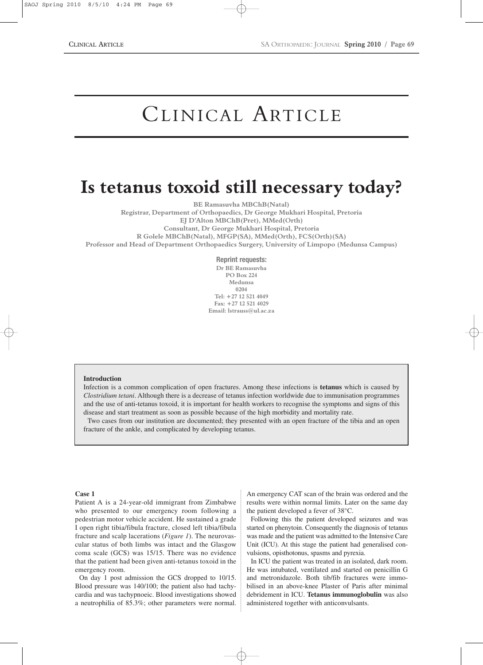# CLINICAL ARTICLE

# **Is tetanus toxoid still necessary today?**

**BE Ramasuvha MBChB(Natal)**

**Registrar, Department of Orthopaedics, Dr George Mukhari Hospital, Pretoria EJ D'Alton MBChB(Pret), MMed(Orth) Consultant, Dr George Mukhari Hospital, Pretoria R Golele MBChB(Natal), MFGP(SA), MMed(Orth), FCS(Orth)(SA) Professor and Head of Department Orthopaedics Surgery, University of Limpopo (Medunsa Campus)**

> **Reprint requests: Dr BE Ramasuvha PO Box 224 Medunsa 0204 Tel: +27 12 521 4049 Fax: +27 12 521 4029 Email: lstrauss@ul.ac.za**

#### **Introduction**

Infection is a common complication of open fractures. Among these infections is **tetanus** which is caused by *Clostridium tetani*. Although there is a decrease of tetanus infection worldwide due to immunisation programmes and the use of anti-tetanus toxoid, it is important for health workers to recognise the symptoms and signs of this disease and start treatment as soon as possible because of the high morbidity and mortality rate.

Two cases from our institution are documented; they presented with an open fracture of the tibia and an open fracture of the ankle, and complicated by developing tetanus.

#### **Case 1**

Patient A is a 24-year-old immigrant from Zimbabwe who presented to our emergency room following a pedestrian motor vehicle accident. He sustained a grade I open right tibia/fibula fracture, closed left tibia/fibula fracture and scalp lacerations (*Figure 1*). The neurovascular status of both limbs was intact and the Glasgow coma scale (GCS) was 15/15. There was no evidence that the patient had been given anti-tetanus toxoid in the emergency room.

On day 1 post admission the GCS dropped to 10/15. Blood pressure was 140/100; the patient also had tachycardia and was tachypnoeic. Blood investigations showed a neutrophilia of 85.3%; other parameters were normal.

An emergency CAT scan of the brain was ordered and the results were within normal limits. Later on the same day the patient developed a fever of 38°C.

Following this the patient developed seizures and was started on phenytoin. Consequently the diagnosis of tetanus was made and the patient was admitted to the Intensive Care Unit (ICU). At this stage the patient had generalised convulsions, opisthotonus, spasms and pyrexia.

In ICU the patient was treated in an isolated, dark room. He was intubated, ventilated and started on penicillin G and metronidazole. Both tib/fib fractures were immobilised in an above-knee Plaster of Paris after minimal debridement in ICU. **Tetanus immunoglobulin** was also administered together with anticonvulsants.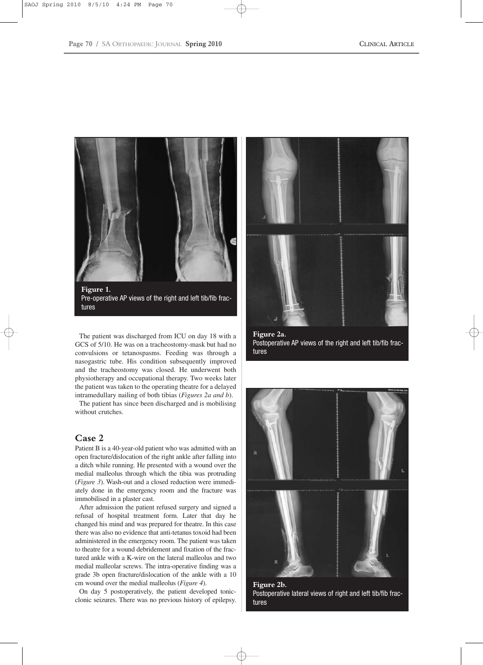

Pre-operative AP views of the right and left tib/fib fractures

The patient was discharged from ICU on day 18 with a GCS of 5/10. He was on a tracheostomy-mask but had no convulsions or tetanospasms. Feeding was through a nasogastric tube. His condition subsequently improved and the tracheostomy was closed. He underwent both physiotherapy and occupational therapy. Two weeks later the patient was taken to the operating theatre for a delayed intramedullary nailing of both tibias (*Figures 2a and b*).

The patient has since been discharged and is mobilising without crutches.

# **Case 2**

Patient B is a 40-year-old patient who was admitted with an open fracture/dislocation of the right ankle after falling into a ditch while running. He presented with a wound over the medial malleolus through which the tibia was protruding (*Figure 3*). Wash-out and a closed reduction were immediately done in the emergency room and the fracture was immobilised in a plaster cast.

After admission the patient refused surgery and signed a refusal of hospital treatment form. Later that day he changed his mind and was prepared for theatre. In this case there was also no evidence that anti-tetanus toxoid had been administered in the emergency room. The patient was taken to theatre for a wound debridement and fixation of the fractured ankle with a K-wire on the lateral malleolus and two medial malleolar screws. The intra-operative finding was a grade 3b open fracture/dislocation of the ankle with a 10 cm wound over the medial malleolus (*Figure 4*).

On day 5 postoperatively, the patient developed tonicclonic seizures. There was no previous history of epilepsy.



**Figure 2a.**  Postoperative AP views of the right and left tib/fib fractures



**Figure 2b.**  Postoperative lateral views of right and left tib/fib fractures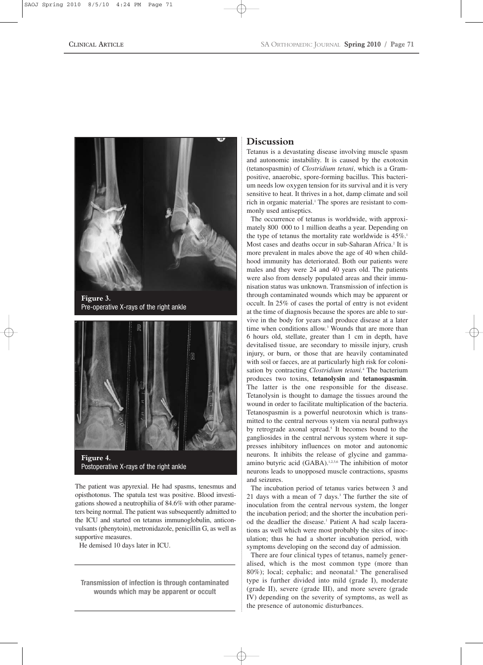

**Figure 3.**  Pre-operative X-rays of the right ankle



Postoperative X-rays of the right ankle

The patient was apyrexial. He had spasms, tenesmus and opisthotonus. The spatula test was positive. Blood investigations showed a neutrophilia of 84.6% with other parameters being normal. The patient was subsequently admitted to the ICU and started on tetanus immunoglobulin, anticonvulsants (phenytoin), metronidazole, penicillin G, as well as supportive measures.

He demised 10 days later in ICU.

**Transmission of infection is through contaminated wounds which may be apparent or occult**

# **Discussion**

Tetanus is a devastating disease involving muscle spasm and autonomic instability. It is caused by the exotoxin (tetanospasmin) of *Clostridium tetani*, which is a Grampositive, anaerobic, spore-forming bacillus. This bacterium needs low oxygen tension for its survival and it is very sensitive to heat. It thrives in a hot, damp climate and soil rich in organic material.1 The spores are resistant to commonly used antiseptics.

The occurrence of tetanus is worldwide, with approximately 800 000 to 1 million deaths a year. Depending on the type of tetanus the mortality rate worldwide is  $45\%$ .<sup>1</sup> Most cases and deaths occur in sub-Saharan Africa.<sup>2</sup> It is more prevalent in males above the age of 40 when childhood immunity has deteriorated. Both our patients were males and they were 24 and 40 years old. The patients were also from densely populated areas and their immunisation status was unknown. Transmission of infection is through contaminated wounds which may be apparent or occult. In 25% of cases the portal of entry is not evident at the time of diagnosis because the spores are able to survive in the body for years and produce disease at a later time when conditions allow.<sup>3</sup> Wounds that are more than 6 hours old, stellate, greater than 1 cm in depth, have devitalised tissue, are secondary to missile injury, crush injury, or burn, or those that are heavily contaminated with soil or faeces, are at particularly high risk for colonisation by contracting *Clostridium tetani.*<sup>4</sup> The bacterium produces two toxins, **tetanolysin** and **tetanospasmin**. The latter is the one responsible for the disease. Tetanolysin is thought to damage the tissues around the wound in order to facilitate multiplication of the bacteria. Tetanospasmin is a powerful neurotoxin which is transmitted to the central nervous system via neural pathways by retrograde axonal spread.<sup>5</sup> It becomes bound to the gangliosides in the central nervous system where it suppresses inhibitory influences on motor and autonomic neurons. It inhibits the release of glycine and gammaamino butyric acid (GABA).<sup>1,2,3,6</sup> The inhibition of motor neurons leads to unopposed muscle contractions, spasms and seizures.

The incubation period of tetanus varies between 3 and 21 days with a mean of 7 days.3 The further the site of inoculation from the central nervous system, the longer the incubation period; and the shorter the incubation period the deadlier the disease.<sup>1</sup> Patient A had scalp lacerations as well which were most probably the sites of inoculation; thus he had a shorter incubation period, with symptoms developing on the second day of admission.

There are four clinical types of tetanus, namely generalised, which is the most common type (more than 80%); local; cephalic; and neonatal.<sup>6</sup> The generalised type is further divided into mild (grade I), moderate (grade II), severe (grade III), and more severe (grade IV) depending on the severity of symptoms, as well as the presence of autonomic disturbances.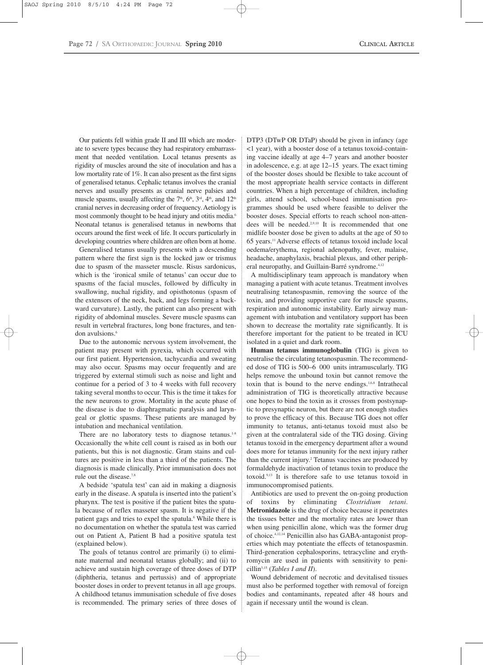Our patients fell within grade II and III which are moderate to severe types because they had respiratory embarrassment that needed ventilation. Local tetanus presents as rigidity of muscles around the site of inoculation and has a low mortality rate of 1%. It can also present as the first signs of generalised tetanus. Cephalic tetanus involves the cranial nerves and usually presents as cranial nerve palsies and muscle spasms, usually affecting the  $7<sup>th</sup>$ ,  $6<sup>th</sup>$ ,  $3<sup>rd</sup>$ ,  $4<sup>th</sup>$ , and  $12<sup>th</sup>$ cranial nerves in decreasing order of frequency. Aetiology is most commonly thought to be head injury and otitis media.<sup>6</sup> Neonatal tetanus is generalised tetanus in newborns that occurs around the first week of life. It occurs particularly in developing countries where children are often born at home.

Generalised tetanus usually presents with a descending pattern where the first sign is the locked jaw or trismus due to spasm of the masseter muscle. Risus sardonicus, which is the 'ironical smile of tetanus' can occur due to spasms of the facial muscles, followed by difficulty in swallowing, nuchal rigidity, and opisthotonus (spasm of the extensors of the neck, back, and legs forming a backward curvature). Lastly, the patient can also present with rigidity of abdominal muscles. Severe muscle spasms can result in vertebral fractures, long bone fractures, and tendon avulsions.6

Due to the autonomic nervous system involvement, the patient may present with pyrexia, which occurred with our first patient. Hypertension, tachycardia and sweating may also occur. Spasms may occur frequently and are triggered by external stimuli such as noise and light and continue for a period of 3 to 4 weeks with full recovery taking several months to occur. This is the time it takes for the new neurons to grow. Mortality in the acute phase of the disease is due to diaphragmatic paralysis and laryngeal or glottic spasms. These patients are managed by intubation and mechanical ventilation.

There are no laboratory tests to diagnose tetanus. $1-8$ Occasionally the white cell count is raised as in both our patients, but this is not diagnostic. Gram stains and cultures are positive in less than a third of the patients. The diagnosis is made clinically. Prior immunisation does not rule out the disease.7,8

A bedside 'spatula test' can aid in making a diagnosis early in the disease. A spatula is inserted into the patient's pharynx. The test is positive if the patient bites the spatula because of reflex masseter spasm. It is negative if the patient gags and tries to expel the spatula.<sup>6</sup> While there is no documentation on whether the spatula test was carried out on Patient A, Patient B had a positive spatula test (explained below).

The goals of tetanus control are primarily (i) to eliminate maternal and neonatal tetanus globally; and (ii) to achieve and sustain high coverage of three doses of DTP (diphtheria, tetanus and pertussis) and of appropriate booster doses in order to prevent tetanus in all age groups. A childhood tetanus immunisation schedule of five doses is recommended. The primary series of three doses of DTP3 (DTwP OR DTaP) should be given in infancy (age <1 year), with a booster dose of a tetanus toxoid-containing vaccine ideally at age 4–7 years and another booster in adolescence, e.g. at age 12–15 years. The exact timing of the booster doses should be flexible to take account of the most appropriate health service contacts in different countries. When a high percentage of children, including girls, attend school, school-based immunisation programmes should be used where feasible to deliver the booster doses. Special efforts to reach school non-attendees will be needed.2,9,10 It is recommended that one midlife booster dose be given to adults at the age of 50 to 65 years.11 Adverse effects of tetanus toxoid include local oedema/erythema, regional adenopathy, fever, malaise, headache, anaphylaxis, brachial plexus, and other peripheral neuropathy, and Guillain-Barré syndrome.<sup>4,12</sup>

A multidisciplinary team approach is mandatory when managing a patient with acute tetanus. Treatment involves neutralising tetanospasmin, removing the source of the toxin, and providing supportive care for muscle spasms, respiration and autonomic instability. Early airway management with intubation and ventilatory support has been shown to decrease the mortality rate significantly. It is therefore important for the patient to be treated in ICU isolated in a quiet and dark room.

**Human tetanus immunoglobulin** (TIG) is given to neutralise the circulating tetanospasmin. The recommended dose of TIG is 500–6 000 units intramuscularly. TIG helps remove the unbound toxin but cannot remove the toxin that is bound to the nerve endings.1,6,8 Intrathecal administration of TIG is theoretically attractive because one hopes to bind the toxin as it crosses from postsynaptic to presynaptic neuron, but there are not enough studies to prove the efficacy of this. Because TIG does not offer immunity to tetanus, anti-tetanus toxoid must also be given at the contralateral side of the TIG dosing. Giving tetanus toxoid in the emergency department after a wound does more for tetanus immunity for the next injury rather than the current injury.<sup>2</sup> Tetanus vaccines are produced by formaldehyde inactivation of tetanus toxin to produce the toxoid.9,13 It is therefore safe to use tetanus toxoid in immunocompromised patients.

Antibiotics are used to prevent the on-going production of toxins by eliminating *Clostridium tetani*. **Metronidazole** is the drug of choice because it penetrates the tissues better and the mortality rates are lower than when using penicillin alone, which was the former drug of choice.4,12,14 Penicillin also has GABA-antagonist properties which may potentiate the effects of tetanospasmin. Third-generation cephalosporins, tetracycline and erythromycin are used in patients with sensitivity to penicillin3,15 (*Tables I and II*).

Wound debridement of necrotic and devitalised tissues must also be performed together with removal of foreign bodies and contaminants, repeated after 48 hours and again if necessary until the wound is clean.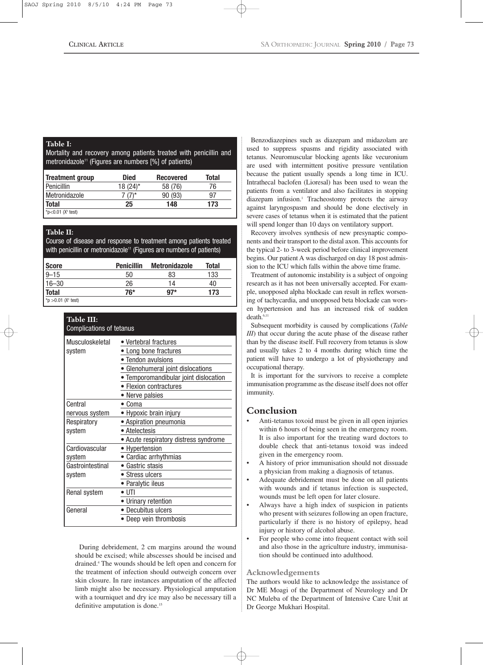#### **Table I:**

Mortality and recovery among patients treated with penicillin and metronidazole<sup>11</sup> (Figures are numbers [%] of patients)

| <b>Treatment group</b> | <b>Died</b> | <b>Recovered</b> | Total |
|------------------------|-------------|------------------|-------|
| Penicillin             | 18 (24)*    | 58 (76)          | 76    |
| Metronidazole          | $(7)^*$     | 90 (93)          | 97    |
| <b>Total</b>           | 25          | 148              | 173   |
| *p<0.01 $(X^2$ test)   |             |                  |       |

#### **Table II:**

Course of disease and response to treatment among patients treated with penicillin or metronidazole $11$  (Figures are numbers of patients)

| <b>Score</b>           | <b>Penicillin</b> | <b>Metronidazole</b> | Total |
|------------------------|-------------------|----------------------|-------|
| $9 - 15$               | 50                | 83                   | 133   |
| $16 - 30$              | 26                | 14                   | 40    |
| <b>Total</b>           | 76*               | $97*$                | 173   |
| *p >0.01 ( $X^2$ test) |                   |                      |       |

| Table III:<br><b>Complications of tetanus</b> |                                       |  |  |
|-----------------------------------------------|---------------------------------------|--|--|
| Musculoskeletal                               | • Vertebral fractures                 |  |  |
| system                                        | • Long bone fractures                 |  |  |
|                                               | • Tendon avulsions                    |  |  |
|                                               | • Glenohumeral joint dislocations     |  |  |
|                                               | • Temporomandibular joint dislocation |  |  |
|                                               | • Flexion contractures                |  |  |
|                                               | • Nerve palsies                       |  |  |
| Central                                       | • Coma                                |  |  |
| nervous system                                | • Hypoxic brain injury                |  |  |
| Respiratory                                   | • Aspiration pneumonia                |  |  |
| system                                        | • Atelectesis                         |  |  |
|                                               | • Acute respiratory distress syndrome |  |  |
| Cardiovascular                                | • Hypertension                        |  |  |
| system                                        | • Cardiac arrhythmias                 |  |  |
| Gastrointestinal                              | • Gastric stasis                      |  |  |
| system                                        | $\bullet$ Stress ulcers               |  |  |
|                                               | Paralytic ileus                       |  |  |
| Renal system                                  | • UTI                                 |  |  |
|                                               | • Urinary retention                   |  |  |
| General                                       | Decubitus ulcers                      |  |  |
|                                               | Deep vein thrombosis                  |  |  |

During debridement, 2 cm margins around the wound should be excised; while abscesses should be incised and drained.4 The wounds should be left open and concern for the treatment of infection should outweigh concern over skin closure. In rare instances amputation of the affected limb might also be necessary. Physiological amputation with a tourniquet and dry ice may also be necessary till a definitive amputation is done.<sup>15</sup>

Benzodiazepines such as diazepam and midazolam are used to suppress spasms and rigidity associated with tetanus. Neuromuscular blocking agents like vecuronium are used with intermittent positive pressure ventilation because the patient usually spends a long time in ICU. Intrathecal baclofen (Lioresal) has been used to wean the patients from a ventilator and also facilitates in stopping diazepam infusion.<sup>1</sup> Tracheostomy protects the airway against laryngospasm and should be done electively in severe cases of tetanus when it is estimated that the patient will spend longer than 10 days on ventilatory support.

Recovery involves synthesis of new presynaptic components and their transport to the distal axon. This accounts for the typical 2- to 3-week period before clinical improvement begins. Our patient A was discharged on day 18 post admission to the ICU which falls within the above time frame.

Treatment of autonomic instability is a subject of ongoing research as it has not been universally accepted. For example, unopposed alpha blockade can result in reflex worsening of tachycardia, and unopposed beta blockade can worsen hypertension and has an increased risk of sudden death.6,11

Subsequent morbidity is caused by complications (*Table III*) that occur during the acute phase of the disease rather than by the disease itself. Full recovery from tetanus is slow and usually takes 2 to 4 months during which time the patient will have to undergo a lot of physiotherapy and occupational therapy.

It is important for the survivors to receive a complete immunisation programme as the disease itself does not offer immunity.

## **Conclusion**

- Anti-tetanus toxoid must be given in all open injuries within 6 hours of being seen in the emergency room. It is also important for the treating ward doctors to double check that anti-tetanus toxoid was indeed given in the emergency room.
- A history of prior immunisation should not dissuade a physician from making a diagnosis of tetanus.
- Adequate debridement must be done on all patients with wounds and if tetanus infection is suspected, wounds must be left open for later closure.
- Always have a high index of suspicion in patients who present with seizures following an open fracture, particularly if there is no history of epilepsy, head injury or history of alcohol abuse.
- For people who come into frequent contact with soil and also those in the agriculture industry, immunisation should be continued into adulthood.

## **Acknowledgements**

The authors would like to acknowledge the assistance of Dr ME Moagi of the Department of Neurology and Dr NC Muleba of the Department of Intensive Care Unit at Dr George Mukhari Hospital.